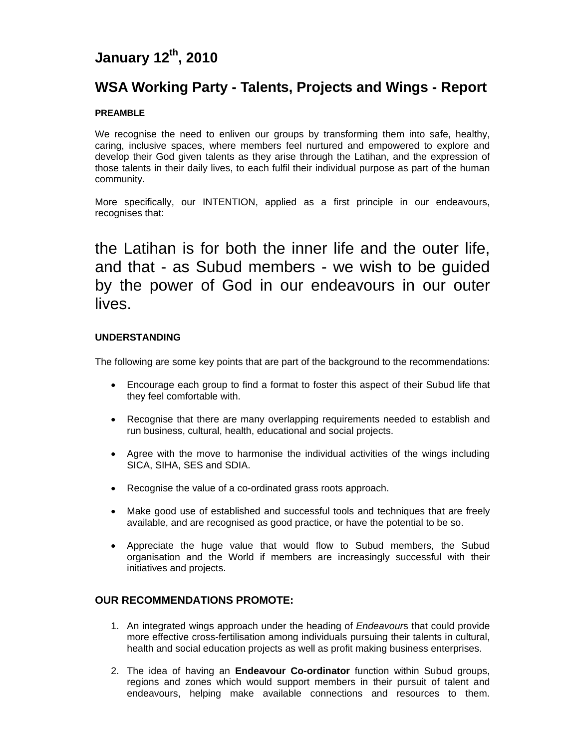# **January 12th, 2010**

## **WSA Working Party - Talents, Projects and Wings - Report**

## **PREAMBLE**

We recognise the need to enliven our groups by transforming them into safe, healthy, caring, inclusive spaces, where members feel nurtured and empowered to explore and develop their God given talents as they arise through the Latihan, and the expression of those talents in their daily lives, to each fulfil their individual purpose as part of the human community.

More specifically, our INTENTION, applied as a first principle in our endeavours, recognises that:

the Latihan is for both the inner life and the outer life, and that - as Subud members - we wish to be guided by the power of God in our endeavours in our outer lives.

## **UNDERSTANDING**

The following are some key points that are part of the background to the recommendations:

- Encourage each group to find a format to foster this aspect of their Subud life that they feel comfortable with.
- Recognise that there are many overlapping requirements needed to establish and run business, cultural, health, educational and social projects.
- Agree with the move to harmonise the individual activities of the wings including SICA, SIHA, SES and SDIA.
- Recognise the value of a co-ordinated grass roots approach.
- Make good use of established and successful tools and techniques that are freely available, and are recognised as good practice, or have the potential to be so.
- Appreciate the huge value that would flow to Subud members, the Subud organisation and the World if members are increasingly successful with their initiatives and projects.

## **OUR RECOMMENDATIONS PROMOTE:**

- 1. An integrated wings approach under the heading of *Endeavour*s that could provide more effective cross-fertilisation among individuals pursuing their talents in cultural, health and social education projects as well as profit making business enterprises.
- 2. The idea of having an **Endeavour Co-ordinator** function within Subud groups, regions and zones which would support members in their pursuit of talent and endeavours, helping make available connections and resources to them.